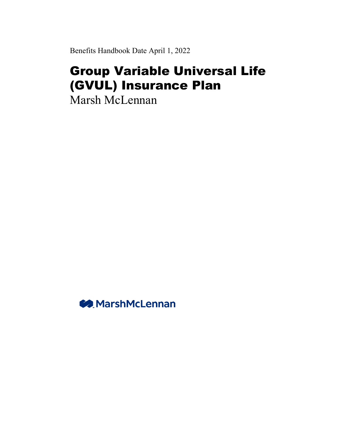Benefits Handbook Date April 1, 2022

# Group Variable Universal Life (GVUL) Insurance Plan

Marsh McLennan

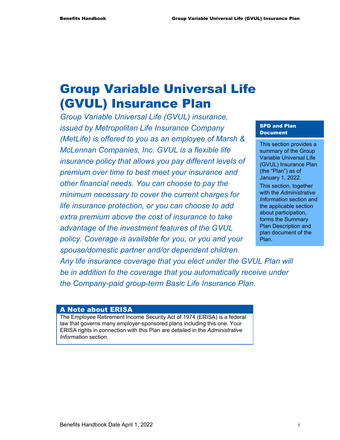# Group Variable Universal Life (GVUL) Insurance Plan

*Group Variable Universal Life (GVUL) insurance, issued by Metropolitan Life Insurance Company (MetLife) is offered to you as an employee of Marsh & McLennan Companies, Inc. GVUL is a flexible life insurance policy that allows you pay different levels of premium over time to best meet your insurance and other financial needs. You can choose to pay the minimum necessary to cover the current charges for life insurance protection, or you can choose to add extra premium above the cost of insurance to take advantage of the investment features of the GVUL policy. Coverage is available for you, or you and your spouse/domestic partner and/or dependent children.* 

#### SPD and Plan Document

This section provides a summary of the Group Variable Universal Life (GVUL) Insurance Plan (the "Plan") as of January 1, 2022.

This section, together with the *Administrative Information* section and the applicable section about participation, forms the Summary Plan Description and plan document of the Plan.

*Any life insurance coverage that you elect under the GVUL Plan will be in addition to the coverage that you automatically receive under the Company-paid group-term Basic Life Insurance Plan.* 

#### A Note about ERISA

The Employee Retirement Income Security Act of 1974 (ERISA) is a federal law that governs many employer-sponsored plans including this one. Your ERISA rights in connection with this Plan are detailed in the *Administrative Information* section.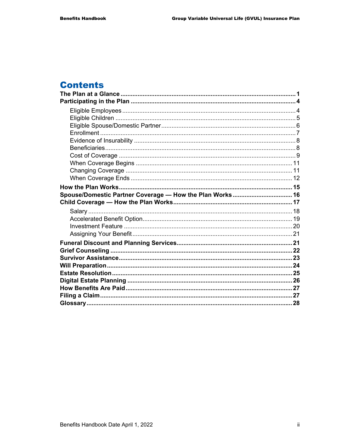# **Contents**

| Spouse/Domestic Partner Coverage - How the Plan Works 16 |  |
|----------------------------------------------------------|--|
|                                                          |  |
|                                                          |  |
|                                                          |  |
|                                                          |  |
|                                                          |  |
|                                                          |  |
|                                                          |  |
|                                                          |  |
|                                                          |  |
|                                                          |  |
|                                                          |  |
|                                                          |  |
|                                                          |  |
|                                                          |  |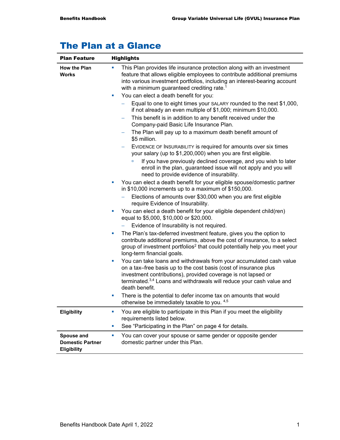| <b>Plan Feature</b>                                         | <b>Highlights</b>                                                                                                                                                                                                                                                                                                        |  |  |
|-------------------------------------------------------------|--------------------------------------------------------------------------------------------------------------------------------------------------------------------------------------------------------------------------------------------------------------------------------------------------------------------------|--|--|
| <b>How the Plan</b><br><b>Works</b>                         | This Plan provides life insurance protection along with an investment<br>a.<br>feature that allows eligible employees to contribute additional premiums<br>into various investment portfolios, including an interest-bearing account<br>with a minimum guaranteed crediting rate. <sup>1</sup>                           |  |  |
|                                                             | You can elect a death benefit for you:<br>u,                                                                                                                                                                                                                                                                             |  |  |
|                                                             | Equal to one to eight times your SALARY rounded to the next \$1,000,<br>if not already an even multiple of \$1,000; minimum \$10,000.<br>This benefit is in addition to any benefit received under the<br>-<br>Company-paid Basic Life Insurance Plan.<br>The Plan will pay up to a maximum death benefit amount of<br>- |  |  |
|                                                             | \$5 million.<br>EVIDENCE OF INSURABILITY is required for amounts over six times                                                                                                                                                                                                                                          |  |  |
|                                                             | your salary (up to \$1,200,000) when you are first eligible.                                                                                                                                                                                                                                                             |  |  |
|                                                             | If you have previously declined coverage, and you wish to later<br>o<br>enroll in the plan, guaranteed issue will not apply and you will<br>need to provide evidence of insurability.                                                                                                                                    |  |  |
|                                                             | You can elect a death benefit for your eligible spouse/domestic partner<br>in \$10,000 increments up to a maximum of \$150,000.                                                                                                                                                                                          |  |  |
|                                                             | Elections of amounts over \$30,000 when you are first eligible<br>require Evidence of Insurability.                                                                                                                                                                                                                      |  |  |
|                                                             | You can elect a death benefit for your eligible dependent child(ren)<br>ш<br>equal to \$5,000, \$10,000 or \$20,000.                                                                                                                                                                                                     |  |  |
|                                                             | Evidence of Insurability is not required.                                                                                                                                                                                                                                                                                |  |  |
|                                                             | The Plan's tax-deferred investment feature, gives you the option to<br>ш<br>contribute additional premiums, above the cost of insurance, to a select<br>group of investment portfolios <sup>2</sup> that could potentially help you meet your<br>long-term financial goals.                                              |  |  |
|                                                             | You can take loans and withdrawals from your accumulated cash value<br>ш<br>on a tax-free basis up to the cost basis (cost of insurance plus<br>investment contributions), provided coverage is not lapsed or<br>terminated. <sup>3,4</sup> Loans and withdrawals will reduce your cash value and<br>death benefit.      |  |  |
|                                                             | There is the potential to defer income tax on amounts that would<br>ш<br>otherwise be immediately taxable to you. 4,5                                                                                                                                                                                                    |  |  |
| <b>Eligibility</b>                                          | You are eligible to participate in this Plan if you meet the eligibility<br>ш<br>requirements listed below.                                                                                                                                                                                                              |  |  |
|                                                             | See "Participating in the Plan" on page 4 for details.<br>ш                                                                                                                                                                                                                                                              |  |  |
| Spouse and<br><b>Domestic Partner</b><br><b>Eligibility</b> | You can cover your spouse or same gender or opposite gender<br>ш<br>domestic partner under this Plan.                                                                                                                                                                                                                    |  |  |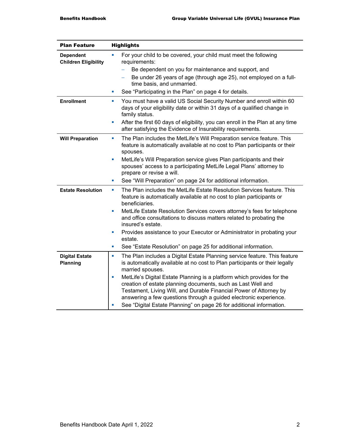| <b>Plan Feature</b>                             | <b>Highlights</b>                                                                                                                                                                                                                                                                       |  |  |
|-------------------------------------------------|-----------------------------------------------------------------------------------------------------------------------------------------------------------------------------------------------------------------------------------------------------------------------------------------|--|--|
| <b>Dependent</b><br><b>Children Eligibility</b> | For your child to be covered, your child must meet the following<br>requirements:                                                                                                                                                                                                       |  |  |
|                                                 | Be dependent on you for maintenance and support, and                                                                                                                                                                                                                                    |  |  |
|                                                 | Be under 26 years of age (through age 25), not employed on a full-<br>time basis, and unmarried.                                                                                                                                                                                        |  |  |
|                                                 | See "Participating in the Plan" on page 4 for details.<br>ш                                                                                                                                                                                                                             |  |  |
| <b>Enrollment</b>                               | You must have a valid US Social Security Number and enroll within 60<br><b>I</b><br>days of your eligibility date or within 31 days of a qualified change in<br>family status.                                                                                                          |  |  |
|                                                 | After the first 60 days of eligibility, you can enroll in the Plan at any time<br>ш<br>after satisfying the Evidence of Insurability requirements.                                                                                                                                      |  |  |
| <b>Will Preparation</b>                         | The Plan includes the MetLife's Will Preparation service feature. This<br>ш<br>feature is automatically available at no cost to Plan participants or their<br>spouses.                                                                                                                  |  |  |
|                                                 | MetLife's Will Preparation service gives Plan participants and their<br>×<br>spouses' access to a participating MetLife Legal Plans' attorney to<br>prepare or revise a will.                                                                                                           |  |  |
|                                                 | See "Will Preparation" on page 24 for additional information.<br>×                                                                                                                                                                                                                      |  |  |
| <b>Estate Resolution</b>                        | The Plan includes the MetLife Estate Resolution Services feature. This<br>ш<br>feature is automatically available at no cost to plan participants or<br>beneficiaries.                                                                                                                  |  |  |
|                                                 | MetLife Estate Resolution Services covers attorney's fees for telephone<br>a,<br>and office consultations to discuss matters related to probating the<br>insured's estate.                                                                                                              |  |  |
|                                                 | Provides assistance to your Executor or Administrator in probating your<br>u,<br>estate.                                                                                                                                                                                                |  |  |
|                                                 | See "Estate Resolution" on page 25 for additional information.<br>u,                                                                                                                                                                                                                    |  |  |
| <b>Digital Estate</b><br>Planning               | The Plan includes a Digital Estate Planning service feature. This feature<br>L.<br>is automatically available at no cost to Plan participants or their legally<br>married spouses.                                                                                                      |  |  |
|                                                 | MetLife's Digital Estate Planning is a platform which provides for the<br>u,<br>creation of estate planning documents, such as Last Well and<br>Testament, Living Will, and Durable Financial Power of Attorney by<br>answering a few questions through a guided electronic experience. |  |  |
|                                                 | See "Digital Estate Planning" on page 26 for additional information.<br>×                                                                                                                                                                                                               |  |  |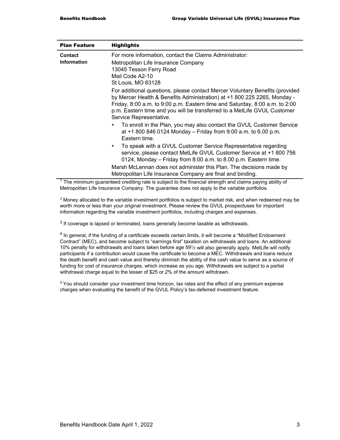| <b>Plan Feature</b> | <b>Highlights</b>                                                                                                                                                                                                                                                                                                                              |  |
|---------------------|------------------------------------------------------------------------------------------------------------------------------------------------------------------------------------------------------------------------------------------------------------------------------------------------------------------------------------------------|--|
| Contact             | For more information, contact the Claims Administrator:                                                                                                                                                                                                                                                                                        |  |
| <b>Information</b>  | Metropolitan Life Insurance Company                                                                                                                                                                                                                                                                                                            |  |
|                     | 13045 Tesson Ferry Road                                                                                                                                                                                                                                                                                                                        |  |
|                     | Mail Code A2-10                                                                                                                                                                                                                                                                                                                                |  |
|                     | St Louis, MO 63128                                                                                                                                                                                                                                                                                                                             |  |
|                     | For additional questions, please contact Mercer Voluntary Benefits (provided<br>by Mercer Health & Benefits Administration) at +1 800 225 2265, Monday -<br>Friday, 8:00 a.m. to 9:00 p.m. Eastern time and Saturday, 8:00 a.m. to 2:00<br>p.m. Eastern time and you will be transferred to a MetLife GVUL Customer<br>Service Representative. |  |
|                     | To enroll in the Plan, you may also contact the GVUL Customer Service<br>at +1 800 846 0124 Monday – Friday from 9:00 a.m. to 6.00 p.m.<br>Eastern time.                                                                                                                                                                                       |  |
|                     | To speak with a GVUL Customer Service Representative regarding<br>ш<br>service, please contact MetLife GVUL Customer Service at +1 800 756<br>0124, Monday – Friday from 8:00 a.m. to 8.00 p.m. Eastern time.                                                                                                                                  |  |
|                     | Marsh McLennan does not administer this Plan. The decisions made by<br>Metropolitan Life Insurance Company are final and binding.                                                                                                                                                                                                              |  |
|                     |                                                                                                                                                                                                                                                                                                                                                |  |

 $1$  The minimum guaranteed crediting rate is subject to the financial strength and claims paying ability of Metropolitan Life Insurance Company. The guarantee does not apply to the variable portfolios.

*<sup>2</sup>* Money allocated to the variable investment portfolios is subject to market risk, and when redeemed may be worth more or less than your original investment. Please review the GVUL prospectuses for important information regarding the variable investment portfolios, including charges and expenses.

 $3$  If coverage is lapsed or terminated, loans generally become taxable as withdrawals.

<sup>4</sup> In general, if the funding of a certificate exceeds certain limits, it will become a "Modified Endowment Contract" (MEC), and become subject to "earnings first" taxation on withdrawals and loans. An additional 10% penalty for withdrawals and loans taken before age 591⁄2 will also generally apply. MetLife will notify participants if a contribution would cause the certificate to become a MEC. Withdrawals and loans reduce the death benefit and cash value and thereby diminish the ability of the cash value to serve as a source of funding for cost of insurance charges, which increase as you age. Withdrawals are subject to a partial withdrawal charge equal to the lesser of \$25 or 2% of the amount withdrawn.

*<sup>5</sup>* You should consider your investment time horizon, tax rates and the effect of any premium expense charges when evaluating the benefit of the GVUL Policy's tax-deferred investment feature.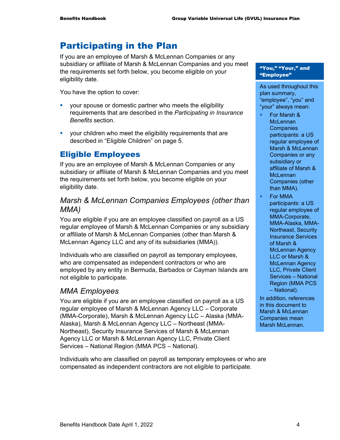# Participating in the Plan

If you are an employee of Marsh & McLennan Companies or any subsidiary or affiliate of Marsh & McLennan Companies and you meet the requirements set forth below, you become eligible on your eligibility date.

You have the option to cover:

- your spouse or domestic partner who meets the eligibility requirements that are described in the *Participating in Insurance Benefits* section.
- your children who meet the eligibility requirements that are described in "Eligible Children" on page 5.

# Eligible Employees

If you are an employee of Marsh & McLennan Companies or any subsidiary or affiliate of Marsh & McLennan Companies and you meet the requirements set forth below, you become eligible on your eligibility date.

### *Marsh & McLennan Companies Employees (other than MMA)*

You are eligible if you are an employee classified on payroll as a US regular employee of Marsh & McLennan Companies or any subsidiary or affiliate of Marsh & McLennan Companies (other than Marsh & McLennan Agency LLC and any of its subsidiaries (MMA)).

Individuals who are classified on payroll as temporary employees, who are compensated as independent contractors or who are employed by any entity in Bermuda, Barbados or Cayman Islands are not eligible to participate.

# *MMA Employees*

You are eligible if you are an employee classified on payroll as a US regular employee of Marsh & McLennan Agency LLC – Corporate (MMA-Corporate), Marsh & McLennan Agency LLC – Alaska (MMA-Alaska), Marsh & McLennan Agency LLC – Northeast (MMA-Northeast), Security Insurance Services of Marsh & McLennan Agency LLC or Marsh & McLennan Agency LLC, Private Client Services – National Region (MMA PCS – National).

Individuals who are classified on payroll as temporary employees or who are compensated as independent contractors are not eligible to participate.

#### "You," "Your," and "Employee"

As used throughout this plan summary, "employee", "you" and "your" always mean:

- For Marsh & **McLennan Companies** participants: a US regular employee of Marsh & McLennan Companies or any subsidiary or affiliate of Marsh & **McLennan** Companies (other than MMA).
	- For MMA participants: a US regular employee of MMA-Corporate, MMA-Alaska, MMA-Northeast, Security Insurance Services of Marsh & McLennan Agency LLC or Marsh & McLennan Agency LLC, Private Client Services – National Region (MMA PCS – National).

In addition, references in this document to Marsh & McLennan Companies mean Marsh McLennan.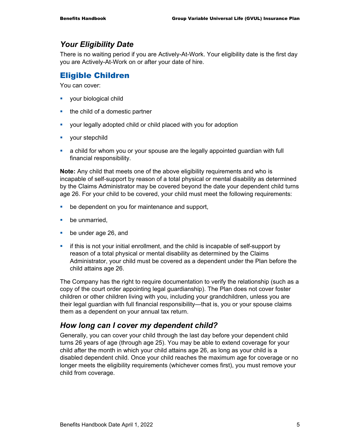#### *Your Eligibility Date*

There is no waiting period if you are Actively-At-Work. Your eligibility date is the first day you are Actively-At-Work on or after your date of hire.

## Eligible Children

You can cover:

- **vour biological child**
- $\blacksquare$  the child of a domestic partner
- your legally adopted child or child placed with you for adoption
- **v** your stepchild
- a child for whom you or your spouse are the legally appointed guardian with full financial responsibility.

**Note:** Any child that meets one of the above eligibility requirements and who is incapable of self-support by reason of a total physical or mental disability as determined by the Claims Administrator may be covered beyond the date your dependent child turns age 26. For your child to be covered, your child must meet the following requirements:

- **•** be dependent on you for maintenance and support,
- **be unmarried.**
- **be under age 26, and**
- **F** if this is not your initial enrollment, and the child is incapable of self-support by reason of a total physical or mental disability as determined by the Claims Administrator, your child must be covered as a dependent under the Plan before the child attains age 26.

The Company has the right to require documentation to verify the relationship (such as a copy of the court order appointing legal guardianship). The Plan does not cover foster children or other children living with you, including your grandchildren, unless you are their legal guardian with full financial responsibility—that is, you or your spouse claims them as a dependent on your annual tax return.

## *How long can I cover my dependent child?*

Generally, you can cover your child through the last day before your dependent child turns 26 years of age (through age 25). You may be able to extend coverage for your child after the month in which your child attains age 26, as long as your child is a disabled dependent child. Once your child reaches the maximum age for coverage or no longer meets the eligibility requirements (whichever comes first), you must remove your child from coverage.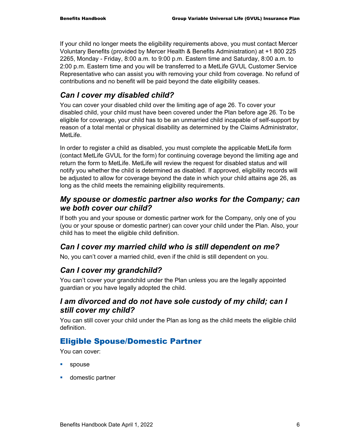If your child no longer meets the eligibility requirements above, you must contact Mercer Voluntary Benefits (provided by Mercer Health & Benefits Administration) at +1 800 225 2265, Monday - Friday, 8:00 a.m. to 9:00 p.m. Eastern time and Saturday, 8:00 a.m. to 2:00 p.m. Eastern time and you will be transferred to a MetLife GVUL Customer Service Representative who can assist you with removing your child from coverage. No refund of contributions and no benefit will be paid beyond the date eligibility ceases.

## *Can I cover my disabled child?*

You can cover your disabled child over the limiting age of age 26. To cover your disabled child, your child must have been covered under the Plan before age 26. To be eligible for coverage, your child has to be an unmarried child incapable of self-support by reason of a total mental or physical disability as determined by the Claims Administrator, MetLife.

In order to register a child as disabled, you must complete the applicable MetLife form (contact MetLife GVUL for the form) for continuing coverage beyond the limiting age and return the form to MetLife. MetLife will review the request for disabled status and will notify you whether the child is determined as disabled. If approved, eligibility records will be adjusted to allow for coverage beyond the date in which your child attains age 26, as long as the child meets the remaining eligibility requirements.

## *My spouse or domestic partner also works for the Company; can we both cover our child?*

If both you and your spouse or domestic partner work for the Company, only one of you (you or your spouse or domestic partner) can cover your child under the Plan. Also, your child has to meet the eligible child definition.

# *Can I cover my married child who is still dependent on me?*

No, you can't cover a married child, even if the child is still dependent on you.

# *Can I cover my grandchild?*

You can't cover your grandchild under the Plan unless you are the legally appointed guardian or you have legally adopted the child.

#### *I am divorced and do not have sole custody of my child; can I still cover my child?*

You can still cover your child under the Plan as long as the child meets the eligible child definition.

# Eligible Spouse/Domestic Partner

You can cover:

- spouse
- **domestic partner**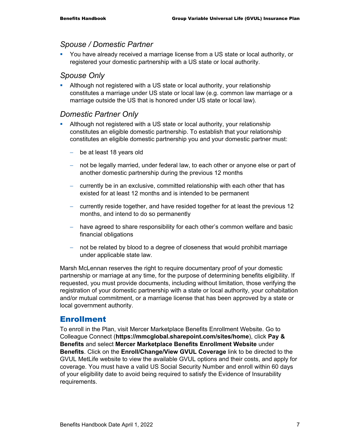#### *Spouse / Domestic Partner*

 You have already received a marriage license from a US state or local authority, or registered your domestic partnership with a US state or local authority.

#### *Spouse Only*

 Although not registered with a US state or local authority, your relationship constitutes a marriage under US state or local law (e.g. common law marriage or a marriage outside the US that is honored under US state or local law).

#### *Domestic Partner Only*

- Although not registered with a US state or local authority, your relationship constitutes an eligible domestic partnership. To establish that your relationship constitutes an eligible domestic partnership you and your domestic partner must:
	- − be at least 18 years old
	- − not be legally married, under federal law, to each other or anyone else or part of another domestic partnership during the previous 12 months
	- − currently be in an exclusive, committed relationship with each other that has existed for at least 12 months and is intended to be permanent
	- − currently reside together, and have resided together for at least the previous 12 months, and intend to do so permanently
	- − have agreed to share responsibility for each other's common welfare and basic financial obligations
	- − not be related by blood to a degree of closeness that would prohibit marriage under applicable state law.

Marsh McLennan reserves the right to require documentary proof of your domestic partnership or marriage at any time, for the purpose of determining benefits eligibility. If requested, you must provide documents, including without limitation, those verifying the registration of your domestic partnership with a state or local authority, your cohabitation and/or mutual commitment, or a marriage license that has been approved by a state or local government authority.

#### Enrollment

To enroll in the Plan, visit Mercer Marketplace Benefits Enrollment Website. Go to Colleague Connect (**https://mmcglobal.sharepoint.com/sites/home**), click **Pay & Benefits** and select **Mercer Marketplace Benefits Enrollment Website** under **Benefits**. Click on the **Enroll/Change/View GVUL Coverage** link to be directed to the GVUL MetLife website to view the available GVUL options and their costs, and apply for coverage. You must have a valid US Social Security Number and enroll within 60 days of your eligibility date to avoid being required to satisfy the Evidence of Insurability requirements.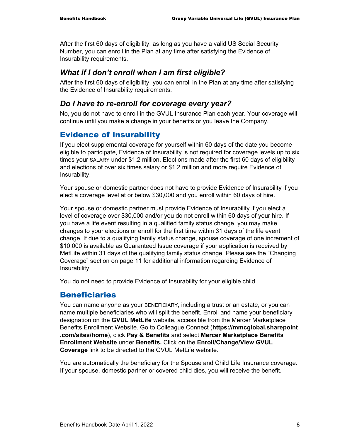After the first 60 days of eligibility, as long as you have a valid US Social Security Number, you can enroll in the Plan at any time after satisfying the Evidence of Insurability requirements.

### *What if I don't enroll when I am first eligible?*

After the first 60 days of eligibility, you can enroll in the Plan at any time after satisfying the Evidence of Insurability requirements.

## *Do I have to re-enroll for coverage every year?*

No, you do not have to enroll in the GVUL Insurance Plan each year. Your coverage will continue until you make a change in your benefits or you leave the Company.

# Evidence of Insurability

If you elect supplemental coverage for yourself within 60 days of the date you become eligible to participate, Evidence of Insurability is not required for coverage levels up to six times your SALARY under \$1.2 million. Elections made after the first 60 days of eligibility and elections of over six times salary or \$1.2 million and more require Evidence of Insurability.

Your spouse or domestic partner does not have to provide Evidence of Insurability if you elect a coverage level at or below \$30,000 and you enroll within 60 days of hire.

Your spouse or domestic partner must provide Evidence of Insurability if you elect a level of coverage over \$30,000 and/or you do not enroll within 60 days of your hire. If you have a life event resulting in a qualified family status change, you may make changes to your elections or enroll for the first time within 31 days of the life event change. If due to a qualifying family status change, spouse coverage of one increment of \$10,000 is available as Guaranteed Issue coverage if your application is received by MetLife within 31 days of the qualifying family status change. Please see the "Changing Coverage" section on page 11 for additional information regarding Evidence of Insurability.

You do not need to provide Evidence of Insurability for your eligible child.

#### **Beneficiaries**

You can name anyone as your BENEFICIARY, including a trust or an estate, or you can name multiple beneficiaries who will split the benefit. Enroll and name your beneficiary designation on the **GVUL MetLife** website, accessible from the Mercer Marketplace Benefits Enrollment Website. Go to Colleague Connect (**https://mmcglobal.sharepoint .com/sites/home**), click **Pay & Benefits** and select **Mercer Marketplace Benefits Enrollment Website** under **Benefits.** Click on the **Enroll/Change/View GVUL Coverage** link to be directed to the GVUL MetLife website.

You are automatically the beneficiary for the Spouse and Child Life Insurance coverage. If your spouse, domestic partner or covered child dies, you will receive the benefit.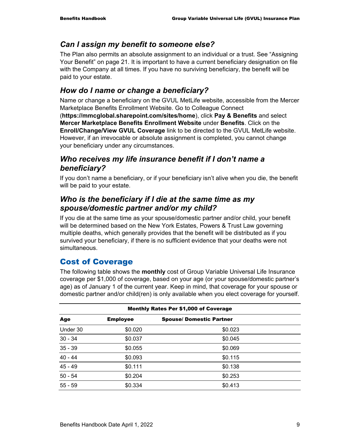### *Can I assign my benefit to someone else?*

The Plan also permits an absolute assignment to an individual or a trust. See "Assigning Your Benefit" on page 21. It is important to have a current beneficiary designation on file with the Company at all times. If you have no surviving beneficiary, the benefit will be paid to your estate.

## *How do I name or change a beneficiary?*

Name or change a beneficiary on the GVUL MetLife website, accessible from the Mercer Marketplace Benefits Enrollment Website. Go to Colleague Connect (**https://mmcglobal.sharepoint.com/sites/home**), click **Pay & Benefits** and select **Mercer Marketplace Benefits Enrollment Website** under **Benefits**. Click on the **Enroll/Change/View GVUL Coverage** link to be directed to the GVUL MetLife website. However, if an irrevocable or absolute assignment is completed, you cannot change your beneficiary under any circumstances.

### *Who receives my life insurance benefit if I don't name a beneficiary?*

If you don't name a beneficiary, or if your beneficiary isn't alive when you die, the benefit will be paid to your estate.

### *Who is the beneficiary if I die at the same time as my spouse/domestic partner and/or my child?*

If you die at the same time as your spouse/domestic partner and/or child, your benefit will be determined based on the New York Estates, Powers & Trust Law governing multiple deaths, which generally provides that the benefit will be distributed as if you survived your beneficiary, if there is no sufficient evidence that your deaths were not simultaneous.

# Cost of Coverage

The following table shows the **monthly** cost of Group Variable Universal Life Insurance coverage per \$1,000 of coverage, based on your age (or your spouse/domestic partner's age) as of January 1 of the current year. Keep in mind, that coverage for your spouse or domestic partner and/or child(ren) is only available when you elect coverage for yourself.

| <b>Monthly Rates Per \$1,000 of Coverage</b> |                 |                                 |  |
|----------------------------------------------|-----------------|---------------------------------|--|
| Age                                          | <b>Employee</b> | <b>Spouse/ Domestic Partner</b> |  |
| Under 30                                     | \$0.020         | \$0.023                         |  |
| $30 - 34$                                    | \$0.037         | \$0.045                         |  |
| $35 - 39$                                    | \$0.055         | \$0.069                         |  |
| $40 - 44$                                    | \$0.093         | \$0.115                         |  |
| $45 - 49$                                    | \$0.111         | \$0.138                         |  |
| $50 - 54$                                    | \$0.204         | \$0.253                         |  |
| $55 - 59$                                    | \$0.334         | \$0.413                         |  |
|                                              |                 |                                 |  |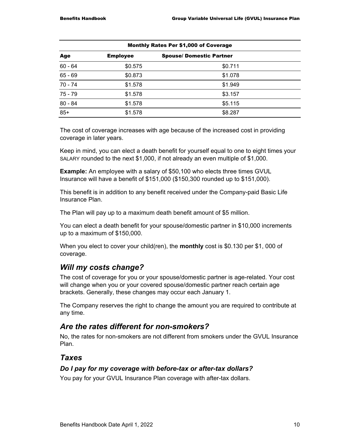| <b>Monthly Rates Per \$1,000 of Coverage</b> |                 |                                |  |
|----------------------------------------------|-----------------|--------------------------------|--|
| Age                                          | <b>Employee</b> | <b>Spouse/Domestic Partner</b> |  |
| $60 - 64$                                    | \$0.575         | \$0.711                        |  |
| $65 - 69$                                    | \$0.873         | \$1.078                        |  |
| $70 - 74$                                    | \$1.578         | \$1.949                        |  |
| $75 - 79$                                    | \$1.578         | \$3.157                        |  |
| $80 - 84$                                    | \$1.578         | \$5.115                        |  |
| $85+$                                        | \$1.578         | \$8.287                        |  |

#### Monthly Rates Per \$1,000 of Coverage

The cost of coverage increases with age because of the increased cost in providing coverage in later years.

Keep in mind, you can elect a death benefit for yourself equal to one to eight times your SALARY rounded to the next \$1,000, if not already an even multiple of \$1,000.

**Example:** An employee with a salary of \$50,100 who elects three times GVUL Insurance will have a benefit of \$151,000 (\$150,300 rounded up to \$151,000).

This benefit is in addition to any benefit received under the Company-paid Basic Life Insurance Plan.

The Plan will pay up to a maximum death benefit amount of \$5 million.

You can elect a death benefit for your spouse/domestic partner in \$10,000 increments up to a maximum of \$150,000.

When you elect to cover your child(ren), the **monthly** cost is \$0.130 per \$1, 000 of coverage.

#### *Will my costs change?*

The cost of coverage for you or your spouse/domestic partner is age-related. Your cost will change when you or your covered spouse/domestic partner reach certain age brackets. Generally, these changes may occur each January 1.

The Company reserves the right to change the amount you are required to contribute at any time.

#### *Are the rates different for non-smokers?*

No, the rates for non-smokers are not different from smokers under the GVUL Insurance Plan.

#### *Taxes*

#### *Do I pay for my coverage with before-tax or after-tax dollars?*

You pay for your GVUL Insurance Plan coverage with after-tax dollars.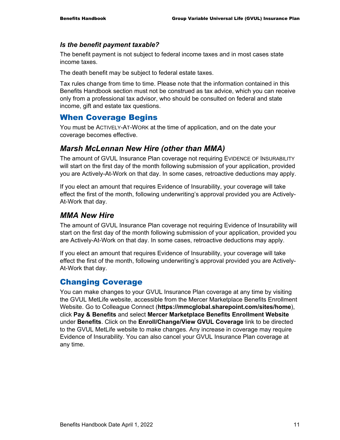#### *Is the benefit payment taxable?*

The benefit payment is not subject to federal income taxes and in most cases state income taxes.

The death benefit may be subject to federal estate taxes.

Tax rules change from time to time. Please note that the information contained in this Benefits Handbook section must not be construed as tax advice, which you can receive only from a professional tax advisor, who should be consulted on federal and state income, gift and estate tax questions.

#### When Coverage Begins

You must be ACTIVELY-AT-WORK at the time of application, and on the date your coverage becomes effective.

#### *Marsh McLennan New Hire (other than MMA)*

The amount of GVUL Insurance Plan coverage not requiring EVIDENCE OF INSURABILITY will start on the first day of the month following submission of your application, provided you are Actively-At-Work on that day. In some cases, retroactive deductions may apply.

If you elect an amount that requires Evidence of Insurability, your coverage will take effect the first of the month, following underwriting's approval provided you are Actively-At-Work that day.

#### *MMA New Hire*

The amount of GVUL Insurance Plan coverage not requiring Evidence of Insurability will start on the first day of the month following submission of your application, provided you are Actively-At-Work on that day. In some cases, retroactive deductions may apply.

If you elect an amount that requires Evidence of Insurability, your coverage will take effect the first of the month, following underwriting's approval provided you are Actively-At-Work that day.

#### Changing Coverage

You can make changes to your GVUL Insurance Plan coverage at any time by visiting the GVUL MetLife website, accessible from the Mercer Marketplace Benefits Enrollment Website. Go to Colleague Connect (**https://mmcglobal.sharepoint.com/sites/home**), click **Pay & Benefits** and select **Mercer Marketplace Benefits Enrollment Website** under **Benefits**. Click on the **Enroll/Change/View GVUL Coverage** link to be directed to the GVUL MetLife website to make changes. Any increase in coverage may require Evidence of Insurability. You can also cancel your GVUL Insurance Plan coverage at any time.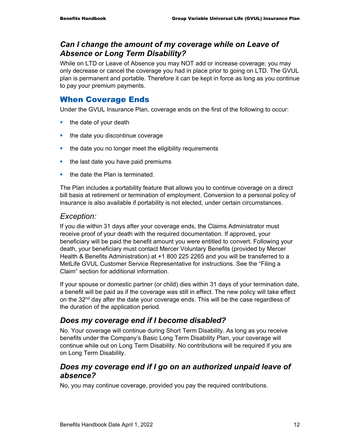## *Can I change the amount of my coverage while on Leave of Absence or Long Term Disability?*

While on LTD or Leave of Absence you may NOT add or increase coverage; you may only decrease or cancel the coverage you had in place prior to going on LTD. The GVUL plan is permanent and portable. Therefore it can be kept in force as long as you continue to pay your premium payments.

### When Coverage Ends

Under the GVUL Insurance Plan, coverage ends on the first of the following to occur:

- $\blacksquare$  the date of your death
- $\blacksquare$  the date you discontinue coverage
- the date you no longer meet the eligibility requirements
- the last date you have paid premiums
- the date the Plan is terminated.

The Plan includes a portability feature that allows you to continue coverage on a direct bill basis at retirement or termination of employment. Conversion to a personal policy of insurance is also available if portability is not elected, under certain circumstances.

#### *Exception:*

If you die within 31 days after your coverage ends, the Claims Administrator must receive proof of your death with the required documentation. If approved, your beneficiary will be paid the benefit amount you were entitled to convert. Following your death, your beneficiary must contact Mercer Voluntary Benefits (provided by Mercer Health & Benefits Administration) at +1 800 225 2265 and you will be transferred to a MetLife GVUL Customer Service Representative for instructions. See the "Filing a Claim" section for additional information.

If your spouse or domestic partner (or child) dies within 31 days of your termination date, a benefit will be paid as if the coverage was still in effect. The new policy will take effect on the 32<sup>nd</sup> day after the date your coverage ends. This will be the case regardless of the duration of the application period.

#### *Does my coverage end if I become disabled?*

No. Your coverage will continue during Short Term Disability. As long as you receive benefits under the Company's Basic Long Term Disability Plan, your coverage will continue while out on Long Term Disability. No contributions will be required if you are on Long Term Disability.

#### *Does my coverage end if I go on an authorized unpaid leave of absence?*

No, you may continue coverage, provided you pay the required contributions.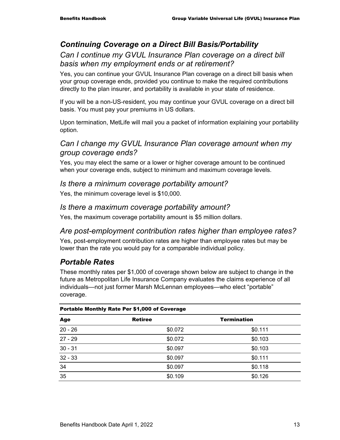#### *Continuing Coverage on a Direct Bill Basis/Portability*

### *Can I continue my GVUL Insurance Plan coverage on a direct bill basis when my employment ends or at retirement?*

Yes, you can continue your GVUL Insurance Plan coverage on a direct bill basis when your group coverage ends, provided you continue to make the required contributions directly to the plan insurer, and portability is available in your state of residence.

If you will be a non-US-resident, you may continue your GVUL coverage on a direct bill basis. You must pay your premiums in US dollars.

Upon termination, MetLife will mail you a packet of information explaining your portability option.

#### *Can I change my GVUL Insurance Plan coverage amount when my group coverage ends?*

Yes, you may elect the same or a lower or higher coverage amount to be continued when your coverage ends, subject to minimum and maximum coverage levels.

#### *Is there a minimum coverage portability amount?*

Yes, the minimum coverage level is \$10,000.

#### *Is there a maximum coverage portability amount?*

Yes, the maximum coverage portability amount is \$5 million dollars.

#### *Are post-employment contribution rates higher than employee rates?*

Yes, post-employment contribution rates are higher than employee rates but may be lower than the rate you would pay for a comparable individual policy.

## *Portable Rates*

These monthly rates per \$1,000 of coverage shown below are subject to change in the future as Metropolitan Life Insurance Company evaluates the claims experience of all individuals—not just former Marsh McLennan employees—who elect "portable" coverage.

| <b>Portable Monthly Rate Per \$1,000 of Coverage</b> |                |                    |
|------------------------------------------------------|----------------|--------------------|
| Age                                                  | <b>Retiree</b> | <b>Termination</b> |
| $20 - 26$                                            | \$0.072        | \$0.111            |
| $27 - 29$                                            | \$0.072        | \$0.103            |
| $30 - 31$                                            | \$0.097        | \$0.103            |
| $32 - 33$                                            | \$0.097        | \$0.111            |
| 34                                                   | \$0.097        | \$0.118            |
| 35                                                   | \$0.109        | \$0.126            |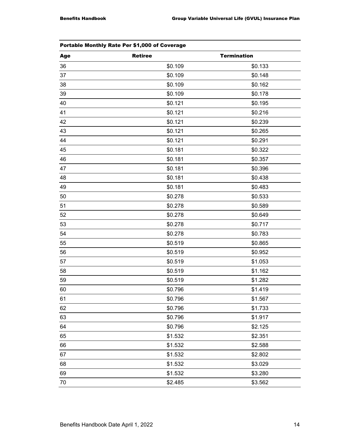| <b>Portable Monthly Rate Per \$1,000 of Coverage</b> |                |                    |  |
|------------------------------------------------------|----------------|--------------------|--|
| Age                                                  | <b>Retiree</b> | <b>Termination</b> |  |
| 36                                                   | \$0.109        | \$0.133            |  |
| 37                                                   | \$0.109        | \$0.148            |  |
| 38                                                   | \$0.109        | \$0.162            |  |
| 39                                                   | \$0.109        | \$0.178            |  |
| 40                                                   | \$0.121        | \$0.195            |  |
| 41                                                   | \$0.121        | \$0.216            |  |
| 42                                                   | \$0.121        | \$0.239            |  |
| 43                                                   | \$0.121        | \$0.265            |  |
| 44                                                   | \$0.121        | \$0.291            |  |
| 45                                                   | \$0.181        | \$0.322            |  |
| 46                                                   | \$0.181        | \$0.357            |  |
| 47                                                   | \$0.181        | \$0.396            |  |
| 48                                                   | \$0.181        | \$0.438            |  |
| 49                                                   | \$0.181        | \$0.483            |  |
| 50                                                   | \$0.278        | \$0.533            |  |
| 51                                                   | \$0.278        | \$0.589            |  |
| 52                                                   | \$0.278        | \$0.649            |  |
| 53                                                   | \$0.278        | \$0.717            |  |
| 54                                                   | \$0.278        | \$0.783            |  |
| 55                                                   | \$0.519        | \$0.865            |  |
| 56                                                   | \$0.519        | \$0.952            |  |
| 57                                                   | \$0.519        | \$1.053            |  |
| 58                                                   | \$0.519        | \$1.162            |  |
| 59                                                   | \$0.519        | \$1.282            |  |
| 60                                                   | \$0.796        | \$1.419            |  |
| 61                                                   | \$0.796        | \$1.567            |  |
| 62                                                   | \$0.796        | \$1.733            |  |
| 63                                                   | \$0.796        | \$1.917            |  |
| 64                                                   | \$0.796        | \$2.125            |  |
| 65                                                   | \$1.532        | \$2.351            |  |
| 66                                                   | \$1.532        | \$2.588            |  |
| 67                                                   | \$1.532        | \$2.802            |  |
| 68                                                   | \$1.532        | \$3.029            |  |
| 69                                                   | \$1.532        | \$3.280            |  |
| 70                                                   | \$2.485        | \$3.562            |  |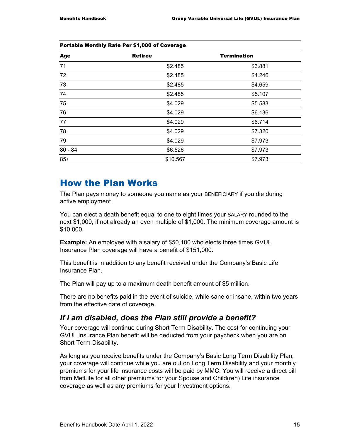| <b>FULLANDE MUNICIPY RALE FEI VI,000 UI OUVERGE</b> |                |                    |
|-----------------------------------------------------|----------------|--------------------|
| Age                                                 | <b>Retiree</b> | <b>Termination</b> |
| 71                                                  | \$2.485        | \$3.881            |
| 72                                                  | \$2.485        | \$4.246            |
| 73                                                  | \$2.485        | \$4.659            |
| 74                                                  | \$2.485        | \$5.107            |
| 75                                                  | \$4.029        | \$5.583            |
| 76                                                  | \$4.029        | \$6.136            |
| 77                                                  | \$4.029        | \$6.714            |
| 78                                                  | \$4.029        | \$7.320            |
| 79                                                  | \$4.029        | \$7.973            |
| $80 - 84$                                           | \$6.526        | \$7.973            |
| $85+$                                               | \$10.567       | \$7.973            |

Portable Monthly Rate Per \$1,000 of Coverage

#### How the Plan Works

The Plan pays money to someone you name as your BENEFICIARY if you die during active employment.

You can elect a death benefit equal to one to eight times your SALARY rounded to the next \$1,000, if not already an even multiple of \$1,000. The minimum coverage amount is \$10,000.

**Example:** An employee with a salary of \$50,100 who elects three times GVUL Insurance Plan coverage will have a benefit of \$151,000.

This benefit is in addition to any benefit received under the Company's Basic Life Insurance Plan.

The Plan will pay up to a maximum death benefit amount of \$5 million.

There are no benefits paid in the event of suicide, while sane or insane, within two years from the effective date of coverage.

#### *If I am disabled, does the Plan still provide a benefit?*

Your coverage will continue during Short Term Disability. The cost for continuing your GVUL Insurance Plan benefit will be deducted from your paycheck when you are on Short Term Disability.

As long as you receive benefits under the Company's Basic Long Term Disability Plan, your coverage will continue while you are out on Long Term Disability and your monthly premiums for your life insurance costs will be paid by MMC. You will receive a direct bill from MetLife for all other premiums for your Spouse and Child(ren) Life insurance coverage as well as any premiums for your Investment options.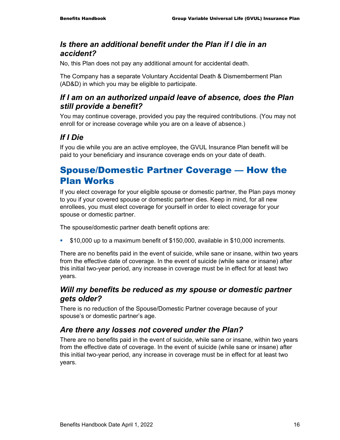## *Is there an additional benefit under the Plan if I die in an accident?*

No, this Plan does not pay any additional amount for accidental death.

The Company has a separate Voluntary Accidental Death & Dismemberment Plan (AD&D) in which you may be eligible to participate.

# *If I am on an authorized unpaid leave of absence, does the Plan still provide a benefit?*

You may continue coverage, provided you pay the required contributions. (You may not enroll for or increase coverage while you are on a leave of absence.)

# *If I Die*

If you die while you are an active employee, the GVUL Insurance Plan benefit will be paid to your beneficiary and insurance coverage ends on your date of death.

# Spouse/Domestic Partner Coverage — How the Plan Works

If you elect coverage for your eligible spouse or domestic partner, the Plan pays money to you if your covered spouse or domestic partner dies. Keep in mind, for all new enrollees, you must elect coverage for yourself in order to elect coverage for your spouse or domestic partner.

The spouse/domestic partner death benefit options are:

\$10,000 up to a maximum benefit of \$150,000, available in \$10,000 increments.

There are no benefits paid in the event of suicide, while sane or insane, within two years from the effective date of coverage. In the event of suicide (while sane or insane) after this initial two-year period, any increase in coverage must be in effect for at least two years.

# *Will my benefits be reduced as my spouse or domestic partner gets older?*

There is no reduction of the Spouse/Domestic Partner coverage because of your spouse's or domestic partner's age.

# *Are there any losses not covered under the Plan?*

There are no benefits paid in the event of suicide, while sane or insane, within two years from the effective date of coverage. In the event of suicide (while sane or insane) after this initial two-year period, any increase in coverage must be in effect for at least two years.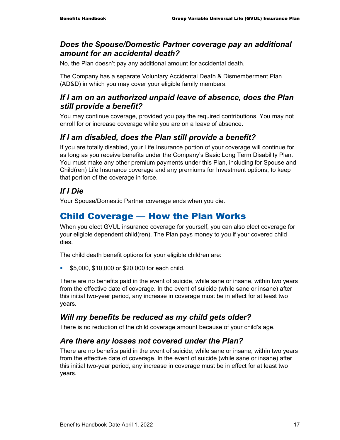## *Does the Spouse/Domestic Partner coverage pay an additional amount for an accidental death?*

No, the Plan doesn't pay any additional amount for accidental death.

The Company has a separate Voluntary Accidental Death & Dismemberment Plan (AD&D) in which you may cover your eligible family members.

## *If I am on an authorized unpaid leave of absence, does the Plan still provide a benefit?*

You may continue coverage, provided you pay the required contributions. You may not enroll for or increase coverage while you are on a leave of absence.

# *If I am disabled, does the Plan still provide a benefit?*

If you are totally disabled, your Life Insurance portion of your coverage will continue for as long as you receive benefits under the Company's Basic Long Term Disability Plan. You must make any other premium payments under this Plan, including for Spouse and Child(ren) Life Insurance coverage and any premiums for Investment options, to keep that portion of the coverage in force.

# *If I Die*

Your Spouse/Domestic Partner coverage ends when you die.

# Child Coverage — How the Plan Works

When you elect GVUL insurance coverage for yourself, you can also elect coverage for your eligible dependent child(ren). The Plan pays money to you if your covered child dies.

The child death benefit options for your eligible children are:

**\$5,000, \$10,000 or \$20,000 for each child.** 

There are no benefits paid in the event of suicide, while sane or insane, within two years from the effective date of coverage. In the event of suicide (while sane or insane) after this initial two-year period, any increase in coverage must be in effect for at least two years.

# *Will my benefits be reduced as my child gets older?*

There is no reduction of the child coverage amount because of your child's age.

# *Are there any losses not covered under the Plan?*

There are no benefits paid in the event of suicide, while sane or insane, within two years from the effective date of coverage. In the event of suicide (while sane or insane) after this initial two-year period, any increase in coverage must be in effect for at least two years.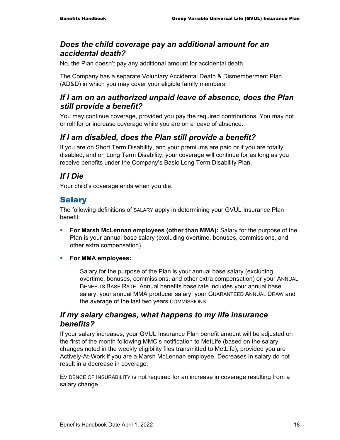### *Does the child coverage pay an additional amount for an accidental death?*

No, the Plan doesn't pay any additional amount for accidental death.

The Company has a separate Voluntary Accidental Death & Dismemberment Plan (AD&D) in which you may cover your eligible family members.

## *If I am on an authorized unpaid leave of absence, does the Plan still provide a benefit?*

You may continue coverage, provided you pay the required contributions. You may not enroll for or increase coverage while you are on a leave of absence.

# *If I am disabled, does the Plan still provide a benefit?*

If you are on Short Term Disability, and your premiums are paid or if you are totally disabled, and on Long Term Disability, your coverage will continue for as long as you receive benefits under the Company's Basic Long Term Disability Plan.

# *If I Die*

Your child's coverage ends when you die.

# **Salary**

The following definitions of SALARY apply in determining your GVUL Insurance Plan benefit:

- **For Marsh McLennan employees (other than MMA):** Salary for the purpose of the Plan is your annual base salary (excluding overtime, bonuses, commissions, and other extra compensation).
- **For MMA employees:** 
	- − Salary for the purpose of the Plan is your annual base salary (excluding overtime, bonuses, commissions, and other extra compensation) or your ANNUAL BENEFITS BASE RATE. Annual benefits base rate includes your annual base salary, your annual MMA producer salary, your GUARANTEED ANNUAL DRAW and the average of the last two years COMMISSIONS.

## *If my salary changes, what happens to my life insurance benefits?*

If your salary increases, your GVUL Insurance Plan benefit amount will be adjusted on the first of the month following MMC's notification to MetLife (based on the salary changes noted in the weekly eligibility files transmitted to MetLife), provided you are Actively-At-Work if you are a Marsh McLennan employee. Decreases in salary do not result in a decrease in coverage.

EVIDENCE OF INSURABILITY is not required for an increase in coverage resulting from a salary change.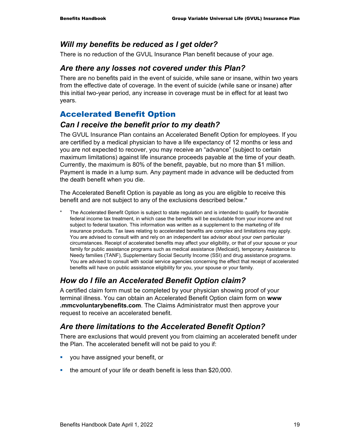#### *Will my benefits be reduced as I get older?*

There is no reduction of the GVUL Insurance Plan benefit because of your age.

#### *Are there any losses not covered under this Plan?*

There are no benefits paid in the event of suicide, while sane or insane, within two years from the effective date of coverage. In the event of suicide (while sane or insane) after this initial two-year period, any increase in coverage must be in effect for at least two years.

# Accelerated Benefit Option

#### *Can I receive the benefit prior to my death?*

The GVUL Insurance Plan contains an Accelerated Benefit Option for employees. If you are certified by a medical physician to have a life expectancy of 12 months or less and you are not expected to recover, you may receive an "advance" (subject to certain maximum limitations) against life insurance proceeds payable at the time of your death. Currently, the maximum is 80% of the benefit, payable, but no more than \$1 million. Payment is made in a lump sum. Any payment made in advance will be deducted from the death benefit when you die.

The Accelerated Benefit Option is payable as long as you are eligible to receive this benefit and are not subject to any of the exclusions described below.\*

The Accelerated Benefit Option is subject to state regulation and is intended to qualify for favorable federal income tax treatment, in which case the benefits will be excludable from your income and not subject to federal taxation. This information was written as a supplement to the marketing of life insurance products. Tax laws relating to accelerated benefits are complex and limitations may apply. You are advised to consult with and rely on an independent tax advisor about your own particular circumstances. Receipt of accelerated benefits may affect your eligibility, or that of your spouse or your family for public assistance programs such as medical assistance (Medicaid), temporary Assistance to Needy families (TANF), Supplementary Social Security Income (SSI) and drug assistance programs. You are advised to consult with social service agencies concerning the effect that receipt of accelerated benefits will have on public assistance eligibility for you, your spouse or your family.

# *How do I file an Accelerated Benefit Option claim?*

A certified claim form must be completed by your physician showing proof of your terminal illness. You can obtain an Accelerated Benefit Option claim form on **www .mmcvoluntarybenefits.com**. The Claims Administrator must then approve your request to receive an accelerated benefit.

# *Are there limitations to the Accelerated Benefit Option?*

There are exclusions that would prevent you from claiming an accelerated benefit under the Plan. The accelerated benefit will not be paid to you if:

- **v** you have assigned your benefit, or
- **the amount of your life or death benefit is less than \$20,000.**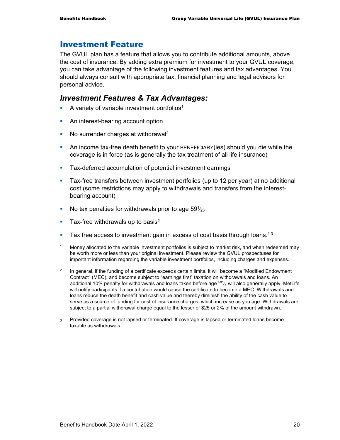#### Investment Feature

The GVUL plan has a feature that allows you to contribute additional amounts, above the cost of insurance. By adding extra premium for investment to your GVUL coverage, you can take advantage of the following investment features and tax advantages. You should always consult with appropriate tax, financial planning and legal advisors for personal advice.

#### *Investment Features & Tax Advantages:*

- A variety of variable investment portfolios<sup>1</sup>
- An interest-bearing account option
- No surrender charges at withdrawal<sup>2</sup>
- An income tax-free death benefit to your BENEFICIARY(ies) should you die while the coverage is in force (as is generally the tax treatment of all life insurance)
- **Tax-deferred accumulation of potential investment earnings**
- Tax-free transfers between investment portfolios (up to 12 per year) at no additional cost (some restrictions may apply to withdrawals and transfers from the interestbearing account)
- No tax penalties for withdrawals prior to age  $59\frac{1}{23}$
- Tax-free withdrawals up to basis<sup>2</sup>
- Tax free access to investment gain in excess of cost basis through loans.<sup>2,3</sup>
- <sup>1</sup> Money allocated to the variable investment portfolios is subject to market risk, and when redeemed may be worth more or less than your original investment. Please review the GVUL prospectuses for important information regarding the variable investment portfolios, including charges and expenses.
- <sup>2</sup> In general, if the funding of a certificate exceeds certain limits, it will become a "Modified Endowment" Contract" (MEC), and become subject to "earnings first" taxation on withdrawals and loans. An additional 10% penalty for withdrawals and loans taken before age <sup>591</sup>/2 will also generally apply. MetLife will notify participants if a contribution would cause the certificate to become a MEC. Withdrawals and loans reduce the death benefit and cash value and thereby diminish the ability of the cash value to serve as a source of funding for cost of insurance charges, which increase as you age. Withdrawals are subject to a partial withdrawal charge equal to the lesser of \$25 or 2% of the amount withdrawn.
- 3 Provided coverage is not lapsed or terminated. If coverage is lapsed or terminated loans become taxable as withdrawals.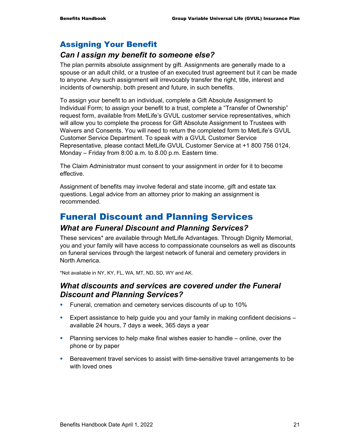## Assigning Your Benefit

#### *Can I assign my benefit to someone else?*

The plan permits absolute assignment by gift. Assignments are generally made to a spouse or an adult child, or a trustee of an executed trust agreement but it can be made to anyone. Any such assignment will irrevocably transfer the right, title, interest and incidents of ownership, both present and future, in such benefits.

To assign your benefit to an individual, complete a Gift Absolute Assignment to Individual Form; to assign your benefit to a trust, complete a "Transfer of Ownership" request form, available from MetLife's GVUL customer service representatives, which will allow you to complete the process for Gift Absolute Assignment to Trustees with Waivers and Consents. You will need to return the completed form to MetLife's GVUL Customer Service Department. To speak with a GVUL Customer Service Representative, please contact MetLife GVUL Customer Service at +1 800 756 0124, Monday – Friday from 8:00 a.m. to 8.00 p.m. Eastern time.

The Claim Administrator must consent to your assignment in order for it to become effective.

Assignment of benefits may involve federal and state income, gift and estate tax questions. Legal advice from an attorney prior to making an assignment is recommended.

# Funeral Discount and Planning Services

#### *What are Funeral Discount and Planning Services?*

These services\* are available through MetLife Advantages. Through Dignity Memorial, you and your family will have access to compassionate counselors as well as discounts on funeral services through the largest network of funeral and cemetery providers in North America.

\*Not available in NY, KY, FL, WA, MT, ND, SD, WY and AK.

#### *What discounts and services are covered under the Funeral Discount and Planning Services?*

- **Funeral, cremation and cemetery services discounts of up to 10%**
- **Expert assistance to help guide you and your family in making confident decisions** available 24 hours, 7 days a week, 365 days a year
- Planning services to help make final wishes easier to handle online, over the phone or by paper
- Bereavement travel services to assist with time-sensitive travel arrangements to be with loved ones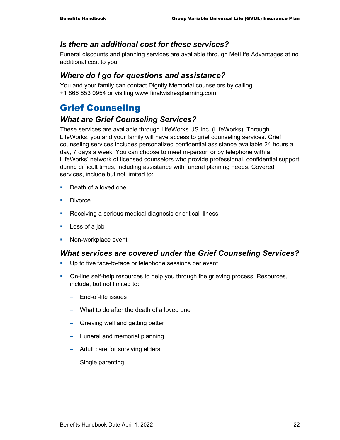#### *Is there an additional cost for these services?*

Funeral discounts and planning services are available through MetLife Advantages at no additional cost to you.

### *Where do I go for questions and assistance?*

You and your family can contact Dignity Memorial counselors by calling +1 866 853 0954 or visiting www.finalwishesplanning.com.

# Grief Counseling

#### *What are Grief Counseling Services?*

These services are available through LifeWorks US Inc. (LifeWorks). Through LifeWorks, you and your family will have access to grief counseling services. Grief counseling services includes personalized confidential assistance available 24 hours a day, 7 days a week. You can choose to meet in-person or by telephone with a LifeWorks' network of licensed counselors who provide professional, confidential support during difficult times, including assistance with funeral planning needs. Covered services, include but not limited to:

- Death of a loved one
- **Divorce**
- **Receiving a serious medical diagnosis or critical illness**
- **Loss of a job**
- **Non-workplace event**

#### *What services are covered under the Grief Counseling Services?*

- Up to five face-to-face or telephone sessions per event
- On-line self-help resources to help you through the grieving process. Resources, include, but not limited to:
	- − End-of-life issues
	- − What to do after the death of a loved one
	- − Grieving well and getting better
	- − Funeral and memorial planning
	- − Adult care for surviving elders
	- − Single parenting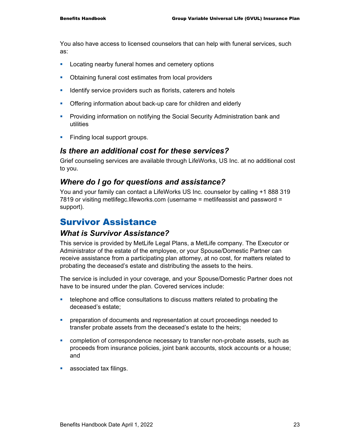You also have access to licensed counselors that can help with funeral services, such as:

- **Locating nearby funeral homes and cemetery options**
- Obtaining funeral cost estimates from local providers
- **IDENTIFY** service providers such as florists, caterers and hotels
- **Offering information about back-up care for children and elderly**
- **Providing information on notifying the Social Security Administration bank and** utilities
- **Finding local support groups.**

#### *Is there an additional cost for these services?*

Grief counseling services are available through LifeWorks, US Inc. at no additional cost to you.

#### *Where do I go for questions and assistance?*

You and your family can contact a LifeWorks US Inc. counselor by calling +1 888 319 7819 or visiting metlifegc.lifeworks.com (username = metlifeassist and password = support).

# Survivor Assistance

#### *What is Survivor Assistance?*

This service is provided by MetLife Legal Plans, a MetLife company. The Executor or Administrator of the estate of the employee, or your Spouse/Domestic Partner can receive assistance from a participating plan attorney, at no cost, for matters related to probating the deceased's estate and distributing the assets to the heirs.

The service is included in your coverage, and your Spouse/Domestic Partner does not have to be insured under the plan. Covered services include:

- **•** telephone and office consultations to discuss matters related to probating the deceased's estate;
- **Permanation of documents and representation at court proceedings needed to** transfer probate assets from the deceased's estate to the heirs;
- completion of correspondence necessary to transfer non-probate assets, such as proceeds from insurance policies, joint bank accounts, stock accounts or a house; and
- **associated tax filings.**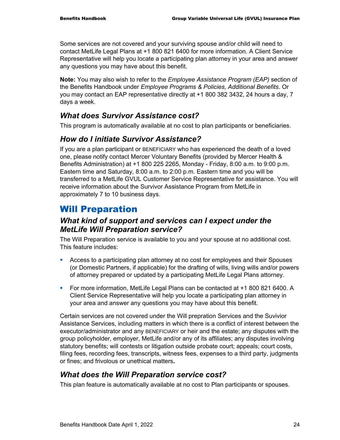Some services are not covered and your surviving spouse and/or child will need to contact MetLife Legal Plans at +1 800 821 6400 for more information. A Client Service Representative will help you locate a participating plan attorney in your area and answer any questions you may have about this benefit.

**Note:** You may also wish to refer to the *Employee Assistance Program (EAP)* section of the Benefits Handbook under *Employee Programs & Policies, Additional Benefits*. Or you may contact an EAP representative directly at +1 800 382 3432, 24 hours a day, 7 days a week.

#### *What does Survivor Assistance cost?*

This program is automatically available at no cost to plan participants or beneficiaries.

#### *How do I initiate Survivor Assistance?*

If you are a plan participant or BENEFICIARY who has experienced the death of a loved one, please notify contact Mercer Voluntary Benefits (provided by Mercer Health & Benefits Administration) at +1 800 225 2265, Monday - Friday, 8:00 a.m. to 9:00 p.m. Eastern time and Saturday, 8:00 a.m. to 2:00 p.m. Eastern time and you will be transferred to a MetLife GVUL Customer Service Representative for assistance. You will receive information about the Survivor Assistance Program from MetLife in approximately 7 to 10 business days.

# Will Preparation

#### *What kind of support and services can I expect under the MetLife Will Preparation service?*

The Will Preparation service is available to you and your spouse at no additional cost. This feature includes:

- Access to a participating plan attorney at no cost for employees and their Spouses (or Domestic Partners, if applicable) for the drafting of wills, living wills and/or powers of attorney prepared or updated by a participating MetLife Legal Plans attorney.
- For more information, MetLife Legal Plans can be contacted at +1 800 821 6400. A Client Service Representative will help you locate a participating plan attorney in your area and answer any questions you may have about this benefit.

Certain services are not covered under the Will prepration Services and the Suvivior Assistance Services, including matters in which there is a conflict of interest between the executor/administrator and any BENEFICIARY or heir and the estate; any disputes with the group policyholder, employer, MetLife and/or any of its affiliates; any disputes involving statutory benefits; will contests or litigation outside probate court; appeals; court costs, filing fees, recording fees, transcripts, witness fees, expenses to a third party, judgments or fines; and frivolous or unethical matters**.** 

#### *What does the Will Preparation service cost?*

This plan feature is automatically available at no cost to Plan participants or spouses.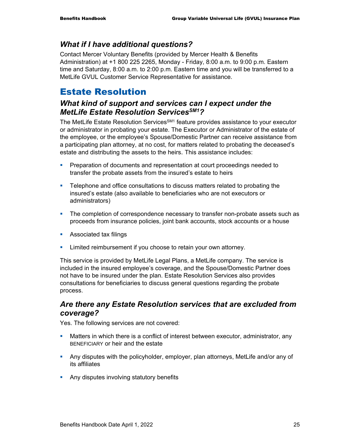#### *What if I have additional questions?*

Contact Mercer Voluntary Benefits (provided by Mercer Health & Benefits Administration) at +1 800 225 2265, Monday - Friday, 8:00 a.m. to 9:00 p.m. Eastern time and Saturday, 8:00 a.m. to 2:00 p.m. Eastern time and you will be transferred to a MetLife GVUL Customer Service Representative for assistance.

# Estate Resolution

## *What kind of support and services can I expect under the MetLife Estate Resolution ServicesSM1?*

The MetLife Estate Resolution Services<sup>SM1</sup> feature provides assistance to your executor or administrator in probating your estate. The Executor or Administrator of the estate of the employee, or the employee's Spouse/Domestic Partner can receive assistance from a participating plan attorney, at no cost, for matters related to probating the deceased's estate and distributing the assets to the heirs. This assistance includes:

- **Preparation of documents and representation at court proceedings needed to** transfer the probate assets from the insured's estate to heirs
- **F** Telephone and office consultations to discuss matters related to probating the insured's estate (also available to beneficiaries who are not executors or administrators)
- The completion of correspondence necessary to transfer non-probate assets such as proceeds from insurance policies, joint bank accounts, stock accounts or a house
- **Associated tax filings**
- **EXTER** Limited reimbursement if you choose to retain your own attorney.

This service is provided by MetLife Legal Plans, a MetLife company. The service is included in the insured employee's coverage, and the Spouse/Domestic Partner does not have to be insured under the plan. Estate Resolution Services also provides consultations for beneficiaries to discuss general questions regarding the probate process.

#### *Are there any Estate Resolution services that are excluded from coverage?*

Yes. The following services are not covered:

- **Matters in which there is a conflict of interest between executor, administrator, any** BENEFICIARY or heir and the estate
- Any disputes with the policyholder, employer, plan attorneys, MetLife and/or any of its affiliates
- **Any disputes involving statutory benefits**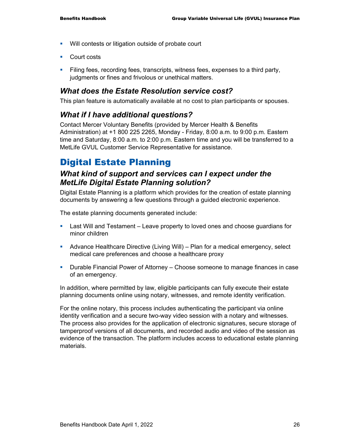- **Will contests or litigation outside of probate court**
- Court costs
- Filing fees, recording fees, transcripts, witness fees, expenses to a third party, judgments or fines and frivolous or unethical matters.

#### *What does the Estate Resolution service cost?*

This plan feature is automatically available at no cost to plan participants or spouses.

#### *What if I have additional questions?*

Contact Mercer Voluntary Benefits (provided by Mercer Health & Benefits Administration) at +1 800 225 2265, Monday - Friday, 8:00 a.m. to 9:00 p.m. Eastern time and Saturday, 8:00 a.m. to 2:00 p.m. Eastern time and you will be transferred to a MetLife GVUL Customer Service Representative for assistance.

# Digital Estate Planning

#### *What kind of support and services can I expect under the MetLife Digital Estate Planning solution?*

Digital Estate Planning is a platform which provides for the creation of estate planning documents by answering a few questions through a guided electronic experience.

The estate planning documents generated include:

- Last Will and Testament Leave property to loved ones and choose guardians for minor children
- Advance Healthcare Directive (Living Will) Plan for a medical emergency, select medical care preferences and choose a healthcare proxy
- Durable Financial Power of Attorney Choose someone to manage finances in case of an emergency.

In addition, where permitted by law, eligible participants can fully execute their estate planning documents online using notary, witnesses, and remote identity verification.

For the online notary, this process includes authenticating the participant via online identity verification and a secure two-way video session with a notary and witnesses. The process also provides for the application of electronic signatures, secure storage of tamperproof versions of all documents, and recorded audio and video of the session as evidence of the transaction. The platform includes access to educational estate planning materials.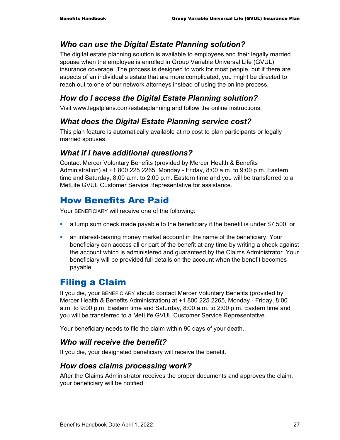### *Who can use the Digital Estate Planning solution?*

The digital estate planning solution is available to employees and their legally married spouse when the employee is enrolled in Group Variable Universal Life (GVUL) insurance coverage. The process is designed to work for most people, but if there are aspects of an individual's estate that are more complicated, you might be directed to reach out to one of our network attorneys instead of using the online process.

## *How do I access the Digital Estate Planning solution?*

Visit www.legalplans.com/estateplanning and follow the online instructions.

## *What does the Digital Estate Planning service cost?*

This plan feature is automatically available at no cost to plan participants or legally married spouses.

#### *What if I have additional questions?*

Contact Mercer Voluntary Benefits (provided by Mercer Health & Benefits Administration) at +1 800 225 2265, Monday - Friday, 8:00 a.m. to 9:00 p.m. Eastern time and Saturday, 8:00 a.m. to 2:00 p.m. Eastern time and you will be transferred to a MetLife GVUL Customer Service Representative for assistance.

# How Benefits Are Paid

Your BENEFICIARY will receive one of the following:

- a lump sum check made payable to the beneficiary if the benefit is under \$7,500, or
- an interest-bearing money market account in the name of the beneficiary. Your beneficiary can access all or part of the benefit at any time by writing a check against the account which is administered and guaranteed by the Claims Administrator. Your beneficiary will be provided full details on the account when the benefit becomes payable.

# Filing a Claim

If you die, your BENEFICIARY should contact Mercer Voluntary Benefits (provided by Mercer Health & Benefits Administration) at +1 800 225 2265, Monday - Friday, 8:00 a.m. to 9:00 p.m. Eastern time and Saturday, 8:00 a.m. to 2:00 p.m. Eastern time and you will be transferred to a MetLife GVUL Customer Service Representative.

Your beneficiary needs to file the claim within 90 days of your death.

#### *Who will receive the benefit?*

If you die, your designated beneficiary will receive the benefit.

#### *How does claims processing work?*

After the Claims Administrator receives the proper documents and approves the claim, your beneficiary will be notified.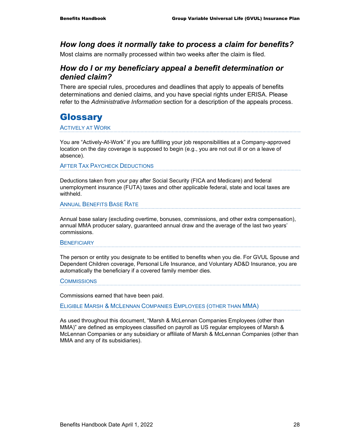#### *How long does it normally take to process a claim for benefits?*

Most claims are normally processed within two weeks after the claim is filed.

#### *How do I or my beneficiary appeal a benefit determination or denied claim?*

There are special rules, procedures and deadlines that apply to appeals of benefits determinations and denied claims, and you have special rights under ERISA. Please refer to the *Administrative Information* section for a description of the appeals process.

# **Glossary**

ACTIVELY AT WORK

You are "Actively-At-Work" if you are fulfilling your job responsibilities at a Company-approved location on the day coverage is supposed to begin (e.g., you are not out ill or on a leave of absence).

AFTER TAX PAYCHECK DEDUCTIONS

Deductions taken from your pay after Social Security (FICA and Medicare) and federal unemployment insurance (FUTA) taxes and other applicable federal, state and local taxes are withheld.

ANNUAL BENEFITS BASE RATE

Annual base salary (excluding overtime, bonuses, commissions, and other extra compensation), annual MMA producer salary, guaranteed annual draw and the average of the last two years' commissions.

#### **BENEFICIARY**

The person or entity you designate to be entitled to benefits when you die. For GVUL Spouse and Dependent Children coverage, Personal Life Insurance, and Voluntary AD&D Insurance, you are automatically the beneficiary if a covered family member dies.

#### **COMMISSIONS**

Commissions earned that have been paid.

ELIGIBLE MARSH & MCLENNAN COMPANIES EMPLOYEES (OTHER THAN MMA)

As used throughout this document, "Marsh & McLennan Companies Employees (other than MMA)" are defined as employees classified on payroll as US regular employees of Marsh & McLennan Companies or any subsidiary or affiliate of Marsh & McLennan Companies (other than MMA and any of its subsidiaries).